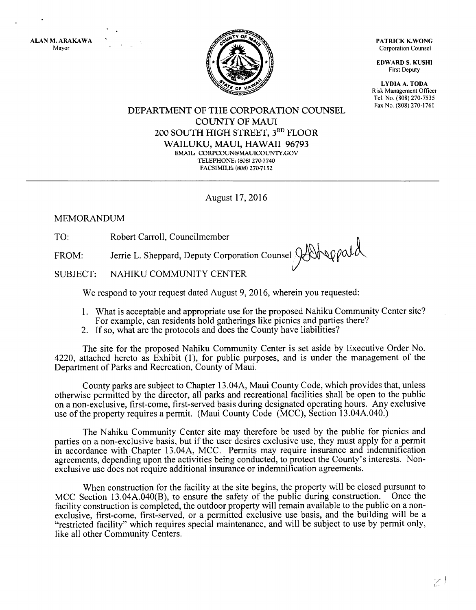ALAN M. ARAKAWA Mayor



PATRICK K.WONG Corporation Counsel

EDWARD S, KUSHI First Deputy

LYDIA A. TODA Risk Management Officer Tel. No. (808) 270-7535<br>Fax No. (808) 270-1761

DEPARTMENT OF THE CORPORATION COUNSEL COLINTY OF MAUI 2OO SOUTH HIGH STREET, 3RD FLOOR WAILUKU, MAUI, HAWAII 96793 EMAIL, CORPCOLIN@MALICOLTNTY.GOV TELEPHONE: (808) 270-7740 FACSIMILE: (808) 270-7152

August 17,2016

### MEMORANDUM

TO: Robert Carroll, Councilmember

FROM: Jerrie L. Sheppard, Deputy Corporation Counsel  $\bigotimes_{\mathcal{A}}\mathcal{A}\bigotimes_{\mathcal{A}}\mathcal{A}$ 

SUBJECT: NAHIKU COMMUNITY CENTER

We respond to your request dated August 9, 2016, wherein you requested:

- l. What is acceptable and appropriate use for the proposed Nahiku Community Center site? For example, can residents hold gatherings like picnics and parties there?
- 2. If so, what are the protocols and does the County have liabilities?

The site for the proposed Nahiku Community Center is set aside by Executive Order No. 4220, attached hereto as Exhibit (1), for public purposes, and is under the management of the Department of Parks and Recreation, County of Maui.

County parks are subject to Chapter 13.044., Maui County Code, which provides that, unless otherwise permitted by the director, all parks and recreational facilities shall be open to the public on a non-exclusive, first-come, first-served basis during designated operating hours. Any exclusive use of the property requires a permit. (Maui County Code (MCC), Section 13.04A.040.)

The Nahiku Community Center site may therefore be used by the public for picnics and parties on a non-exclusive basis, but if the user desires exclusive use, they must apply for a permit in accordance with Chapter 13.044, MCC. Permits may require insurance and indemnification agreements, depending upon the activities being conducted, to protect the County's interests. Nonexclusive use does not require additional insurance or indemnification agreements.

When construction for the facility at the site begins, the property will be closed pursuant to MCC Section 13.04A.040(B), to ensure the safety of the public during construction. Once the facility construction is completed, the outdoor property will remain available to the public on a nonexclusive, first-come, first-served, or a permitted exclusive use basis, and the building will be a "restricted facility" which requires special maintenance, and will be subject to use by permit only, like all other Community Centers.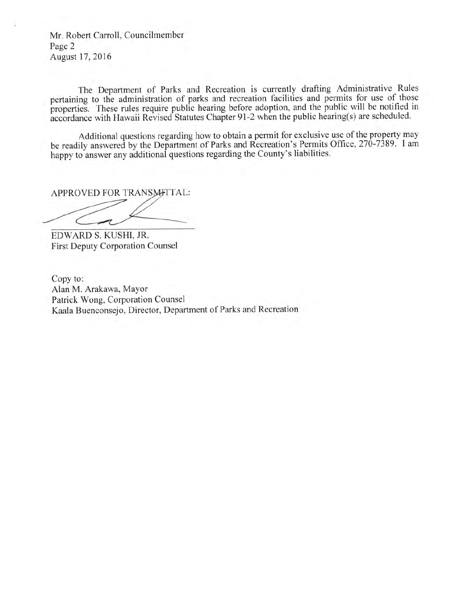Mr. Robert Carroll, Councilmember Page 2 August 17,2016

The Department of Parks and Recreation is currently drafting Administrative Rules pertaining to the administration of parks and recreation facilities and permits for use of those properties. These rules require public hearing before adoption, and the public will be notified in accordance with Hawaii Revised Statutes Chapter 91-2 when the public hearing(s) are scheduled.

Additional questions regarding how to obtain a permit for exclusive use of the property may be readily answered by the Department of Parks and Recreation's Permits Office, 270-7389. I am happy to answer any additional questions regarding the County's liabilities.

APPROVED FOR TRANSMITTAL:

EDWARD S. KUSHI, JR. First Deputy Corporation Counsel

Copy to: Alan M. Arakawa, Mayor Patrick Wong, Corporation Counsel Kaala Buenconsejo, Director, Department of Parks and Recreation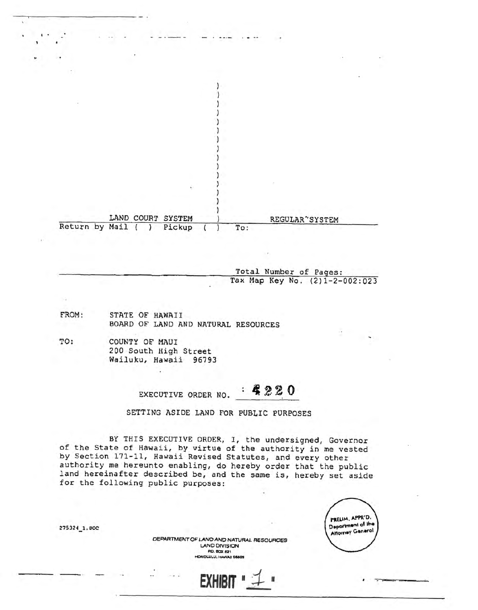|                | LAND COURT SYSTEM |        |     | REGULAR'SYSTEM |  |
|----------------|-------------------|--------|-----|----------------|--|
| Return by Mail |                   | Pickup | To: |                |  |
|                |                   |        |     |                |  |

Total Number of Pages: Tax Map Key No. (2)1-2-002:023

- FROM: STATE OF HAWAII BOARD OF LAND AND NATURAL RESOURCES
- TO: COUNTY OF MAUI 200 South High Street Wailuku, Hawaii 96793

 $920$ EXECUTIVE ORDER NO.

SETTING ASIDE LAND FOR PUBLIC PURPOSES

BY THIS EXECUTIVE ORDER, I, the undersigned, Governor of the State of Hawaii, by virtue of the authority in me vested by Section 171-11, Hawaii Revised Statutes, and every other authority me hereunto enabling, do hereby order that the public land hereinafter described be, and the same is, hereby set aside for the following public purposes:

|  | PRELIM, APPR'D.         |
|--|-------------------------|
|  | Department of the       |
|  | <b>Attorney General</b> |
|  |                         |

DEPARTMENT OF LAND AND NATURAL RESOURCES **LAND DIVISION P.O. BOX 621** HONOLULU, HAWAII 96809

**EXHIBIT** 

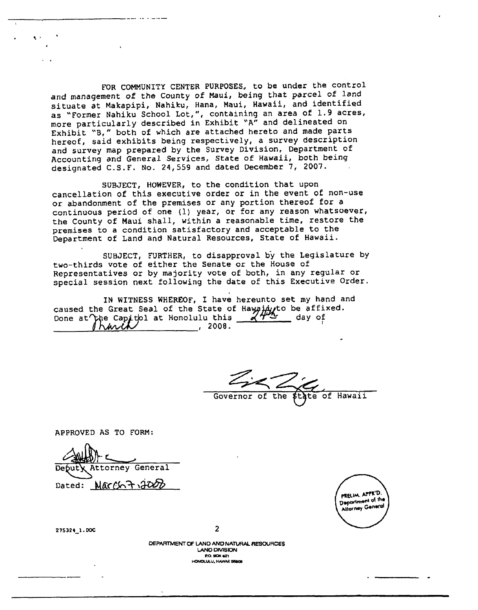FOR COMMUNITY CENTER PURPOSES, to be under the control and management of the County of Maui, being that parcel of land situate at Makapipi, Nahiku, Hana, Maui, Hawaii, and identified as "Former Nahiku School Lot,", containing an area of 1.9 acres, more particularly described in Exhibit "A" and delineated on Exhibit "B," both of which are attached hereto and made parts hereof, said exhibits being respectively, a survey description and survey map prepared by the Survey Division, Department of Accounting and General Services, State of Hawaii, both being designated C.S.F. No. 24,559 and dated December 7, 2007.

SUBJECT, HOWEVER, to the condition that upon cancellation of this executive order or in the event of non-use or abandonment of the premises or any portion thereof for a continuous period of one (1) year, or for any reason whatsoever, the County of Maui shall, within a reasonable time, restore the premises to a condition satisfactory and acceptable to the Department of Land and Natural Resources, State of Hawaii.

SUBJECT, FURTHER, to disapproval by the Legislature by two-thirds vote of either the Senate or the House of Representatives or by majority vote of both, in any regular or special session next following the date of this Executive Order.

IN WITNESS WHEREOF, I have hereunto set my hand and caused the Great Seal of the State of Hawaint to be affixed.<br>Done at The Capitol at Honolulu this 272 day of Iharit  $\sim$  , 2008.

or of the state of Hawaii Governor of

APPROVED AS TO FORM:

|        | SHALL                   |
|--------|-------------------------|
|        | Deputy Attorney General |
| Dated: | March7,2000             |



275324\_1.DOC

 $\bullet$ 

DEPARTMENT OF LAND AND NATURAL RESOURCES **LAND DIVISION P.O. BOX 621** HONOLULU, HAWAII BBSOR

 $\overline{2}$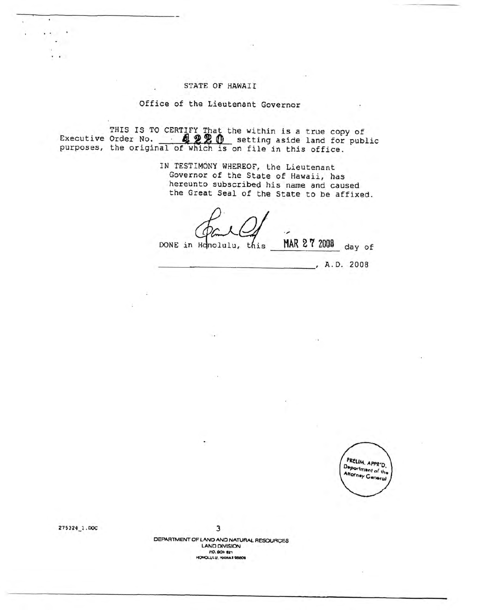#### STATE OF HAWAII

#### Office of the Lieutenant Governor

THIS IS TO CERTIFY That the within is a true copy of<br>Executive Order No. **APPP** setting aside land for public<br>purposes, the original of which is on file in this office.

IN TESTIMONY WHEREOF, the Lieutenant Governor of the State of Hawaii, has hereunto subscribed his name and caused the Great Seal of the State to be affixed.

MAR 27 2008 DONE in Honolulu, this day of

, A.D. 2008



275324\_1.DOC

 $\ddot{\phantom{0}}$ 

 $\mathbf{r}$ 

3

DEPARTMENT OF LAND AND NATURAL RESOURCES **LAND DIVISION** P.O. BOX 821 HONOLULU, HAWAII 98809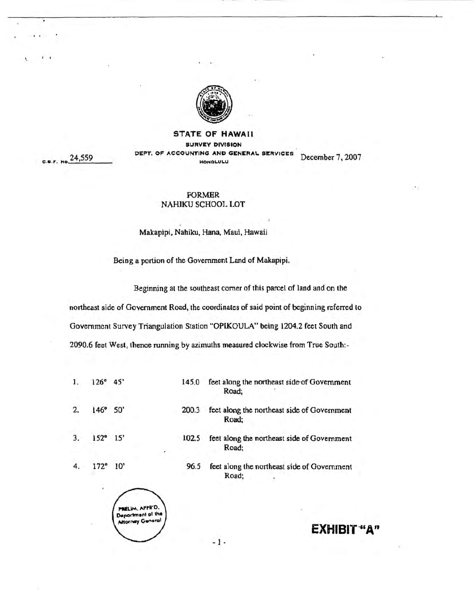

#### **STATE OF HAWAII SURVEY DIVISION** ACCOUNTING AND GENERAL SERVICES DEPT. OF December 7, 2007 HONOLULU

C.B.F. No. 24,559

#### **FORMER** NAHIKU SCHOOL LOT

#### Makapipi, Nahiku, Hana, Maui, Hawaii

Being a portion of the Government Land of Makapipi.

145.0

200.3

102.5

96.5

Beginning at the southeast corner of this parcel of land and on the

Road;

Road;

Road:

Road;

feet along the northeast side of Government

feet along the northeast side of Government

feet along the northeast side of Government

feet along the northeast side of Government

northeast side of Government Road, the coordinates of said point of beginning referred to Government Survey Triangulation Station "OPIKOULA" being 1204.2 feet South and 2090.6 feet West, thence running by azimuths measured clockwise from True South:-

- $1.$  $126^{\circ}$  45'
- $\overline{2}$ .  $50'$ 146°
- $3.$  $152^{\circ}$  $15'$
- $4.$  $172°$  $10'$



## **EXHIBIT "A"**

 $-1-$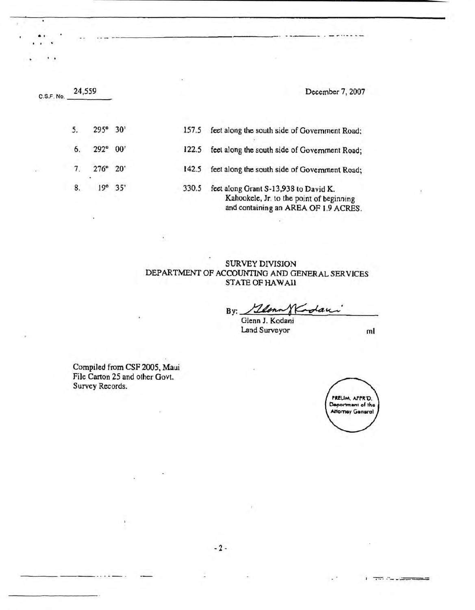| C.S.F. No. |      |        |                               | December 7, 2007                                                                                                          |
|------------|------|--------|-------------------------------|---------------------------------------------------------------------------------------------------------------------------|
| 5.         |      |        | 157.5                         | feet along the south side of Government Road;                                                                             |
| 6.         | 292° | 00'    | 122.5                         | feet along the south side of Government Road;                                                                             |
| 7.         |      |        | 142.5                         | feet along the south side of Government Road;                                                                             |
| 8.         | 19°  | 35'    | 330.5                         | feet along Grant S-13,938 to David K.<br>Kahookele, Jr. to the point of beginning<br>and containing an AREA OF 1.9 ACRES. |
|            |      | 24,559 | 295° 30'<br>$276^{\circ}$ 20' |                                                                                                                           |

. a. '

containing an AREA OF 1.9 ACRES.

# SURVEY DIVISION<br>DEPARTMENT OF ACCOUNTING AND GENERAL SERVICES STATE OF HAWAII

 $By:  $12$ lenn$ adau

Glenn J. Kodani Land Surveyor

-2-

ml

ಡಾಗಿ ಬಿಲ್ಲಂಡ



Compiled from CSF2005, Maui File Carton 25 and other Govt.

Survey Records.